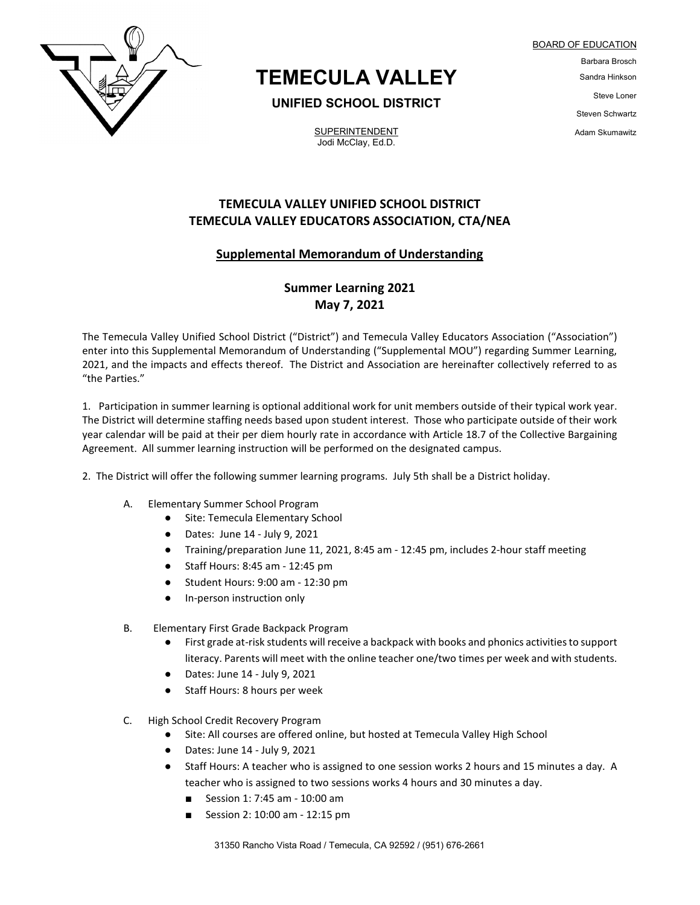

# **TEMECULA VALLEY**

### **UNIFIED SCHOOL DISTRICT**

**SUPERINTENDENT** Jodi McClay, Ed.D.

BOARD OF EDUCATION Barbara Brosch Sandra Hinkson Steve Loner Steven Schwartz Adam Skumawitz

## **TEMECULA VALLEY UNIFIED SCHOOL DISTRICT TEMECULA VALLEY EDUCATORS ASSOCIATION, CTA/NEA**

#### **Supplemental Memorandum of Understanding**

# **Summer Learning 2021 May 7, 2021**

The Temecula Valley Unified School District ("District") and Temecula Valley Educators Association ("Association") enter into this Supplemental Memorandum of Understanding ("Supplemental MOU") regarding Summer Learning, 2021, and the impacts and effects thereof. The District and Association are hereinafter collectively referred to as "the Parties."

1. Participation in summer learning is optional additional work for unit members outside of their typical work year. The District will determine staffing needs based upon student interest. Those who participate outside of their work year calendar will be paid at their per diem hourly rate in accordance with Article 18.7 of the Collective Bargaining Agreement. All summer learning instruction will be performed on the designated campus.

2. The District will offer the following summer learning programs. July 5th shall be a District holiday.

- A. Elementary Summer School Program
	- Site: Temecula Elementary School
	- Dates: June 14 July 9, 2021
	- Training/preparation June 11, 2021, 8:45 am 12:45 pm, includes 2-hour staff meeting
	- Staff Hours: 8:45 am 12:45 pm
	- Student Hours: 9:00 am 12:30 pm
	- In-person instruction only
- B. Elementary First Grade Backpack Program
	- First grade at-risk students will receive a backpack with books and phonics activities to support literacy. Parents will meet with the online teacher one/two times per week and with students.
	- Dates: June 14 July 9, 2021
	- Staff Hours: 8 hours per week
- C. High School Credit Recovery Program
	- Site: All courses are offered online, but hosted at Temecula Valley High School
	- Dates: June 14 July 9, 2021
	- Staff Hours: A teacher who is assigned to one session works 2 hours and 15 minutes a day. A teacher who is assigned to two sessions works 4 hours and 30 minutes a day.
		- Session 1: 7:45 am 10:00 am
		- Session 2: 10:00 am 12:15 pm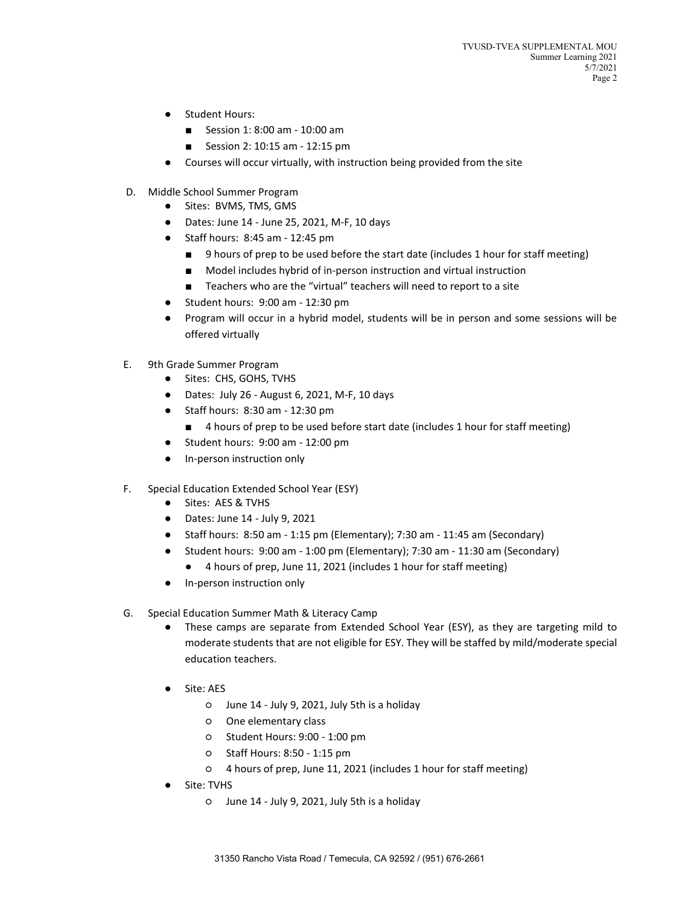- Student Hours:
	- Session 1: 8:00 am 10:00 am
	- Session 2: 10:15 am 12:15 pm
- Courses will occur virtually, with instruction being provided from the site
- D. Middle School Summer Program
	- Sites: BVMS, TMS, GMS
	- Dates: June 14 June 25, 2021, M-F, 10 days
	- Staff hours: 8:45 am 12:45 pm
		- 9 hours of prep to be used before the start date (includes 1 hour for staff meeting)
		- Model includes hybrid of in-person instruction and virtual instruction
		- Teachers who are the "virtual" teachers will need to report to a site
	- Student hours: 9:00 am 12:30 pm
	- Program will occur in a hybrid model, students will be in person and some sessions will be offered virtually
- E. 9th Grade Summer Program
	- Sites: CHS, GOHS, TVHS
	- Dates: July 26 August 6, 2021, M-F, 10 days
	- Staff hours: 8:30 am 12:30 pm
		- 4 hours of prep to be used before start date (includes 1 hour for staff meeting)
	- Student hours: 9:00 am 12:00 pm
	- In-person instruction only
- F. Special Education Extended School Year (ESY)
	- Sites: AES & TVHS
	- Dates: June 14 July 9, 2021
	- Staff hours: 8:50 am 1:15 pm (Elementary); 7:30 am 11:45 am (Secondary)
	- Student hours: 9:00 am 1:00 pm (Elementary); 7:30 am 11:30 am (Secondary)
		- 4 hours of prep, June 11, 2021 (includes 1 hour for staff meeting)
	- In-person instruction only
- G. Special Education Summer Math & Literacy Camp
	- These camps are separate from Extended School Year (ESY), as they are targeting mild to moderate students that are not eligible for ESY. They will be staffed by mild/moderate special education teachers.
	- Site: AES
		- June 14 July 9, 2021, July 5th is a holiday
		- One elementary class
		- Student Hours: 9:00 1:00 pm
		- Staff Hours: 8:50 1:15 pm
		- 4 hours of prep, June 11, 2021 (includes 1 hour for staff meeting)
	- Site: TVHS
		- June 14 July 9, 2021, July 5th is a holiday